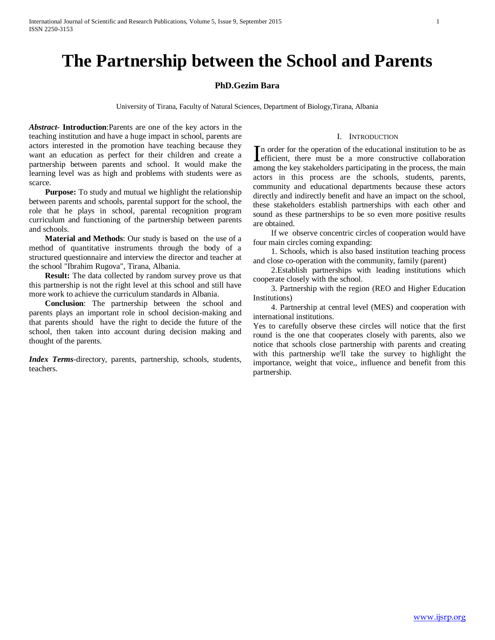# **The Partnership between the School and Parents**

### **PhD.Gezim Bara**

University of Tirana, Faculty of Natural Sciences, Department of Biology,Tirana, Albania

*Abstract***- Introduction**:Parents are one of the key actors in the teaching institution and have a huge impact in school, parents are actors interested in the promotion have teaching because they want an education as perfect for their children and create a partnership between parents and school. It would make the learning level was as high and problems with students were as scarce.

 **Purpose:** To study and mutual we highlight the relationship between parents and schools, parental support for the school, the role that he plays in school, parental recognition program curriculum and functioning of the partnership between parents and schools.

 **Material and Methods**: Our study is based on the use of a method of quantitative instruments through the body of a structured questionnaire and interview the director and teacher at the school "Ibrahim Rugova", Tirana, Albania.

 **Result:** The data collected by random survey prove us that this partnership is not the right level at this school and still have more work to achieve the curriculum standards in Albania.

 **Conclusion**: The partnership between the school and parents plays an important role in school decision-making and that parents should have the right to decide the future of the school, then taken into account during decision making and thought of the parents.

*Index Terms*-directory, parents, partnership, schools, students, teachers.

n order for the operation of the educational institution to be as In order for the operation of the educational institution to be as efficient, there must be a more constructive collaboration among the key stakeholders participating in the process, the main

I. INTRODUCTION

actors in this process are the schools, students, parents, community and educational departments because these actors directly and indirectly benefit and have an impact on the school, these stakeholders establish partnerships with each other and sound as these partnerships to be so even more positive results are obtained.

 If we observe concentric circles of cooperation would have four main circles coming expanding:

 1. Schools, which is also based institution teaching process and close co-operation with the community, family (parent)

 2.Establish partnerships with leading institutions which cooperate closely with the school.

 3. Partnership with the region (REO and Higher Education Institutions)

 4. Partnership at central level (MES) and cooperation with international institutions.

Yes to carefully observe these circles will notice that the first round is the one that cooperates closely with parents, also we notice that schools close partnership with parents and creating with this partnership we'll take the survey to highlight the importance, weight that voice,, influence and benefit from this partnership.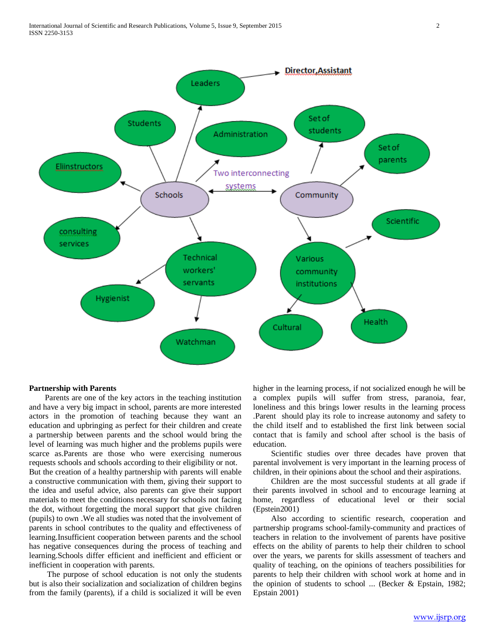

#### **Partnership with Parents**

 Parents are one of the key actors in the teaching institution and have a very big impact in school, parents are more interested actors in the promotion of teaching because they want an education and upbringing as perfect for their children and create a partnership between parents and the school would bring the level of learning was much higher and the problems pupils were scarce as.Parents are those who were exercising numerous requests schools and schools according to their eligibility or not. But the creation of a healthy partnership with parents will enable a constructive communication with them, giving their support to the idea and useful advice, also parents can give their support materials to meet the conditions necessary for schools not facing the dot, without forgetting the moral support that give children (pupils) to own .We all studies was noted that the involvement of parents in school contributes to the quality and effectiveness of learning.Insufficient cooperation between parents and the school has negative consequences during the process of teaching and learning.Schools differ efficient and inefficient and efficient or inefficient in cooperation with parents.

 The purpose of school education is not only the students but is also their socialization and socialization of children begins from the family (parents), if a child is socialized it will be even

higher in the learning process, if not socialized enough he will be a complex pupils will suffer from stress, paranoia, fear, loneliness and this brings lower results in the learning process .Parent should play its role to increase autonomy and safety to the child itself and to established the first link between social contact that is family and school after school is the basis of education.

 Scientific studies over three decades have proven that parental involvement is very important in the learning process of children, in their opinions about the school and their aspirations.

 Children are the most successful students at all grade if their parents involved in school and to encourage learning at home, regardless of educational level or their social (Epstein2001)

 Also according to scientific research, cooperation and partnership programs school-family-community and practices of teachers in relation to the involvement of parents have positive effects on the ability of parents to help their children to school over the years, we parents for skills assessment of teachers and quality of teaching, on the opinions of teachers possibilities for parents to help their children with school work at home and in the opinion of students to school ... (Becker & Epstain, 1982; Epstain 2001)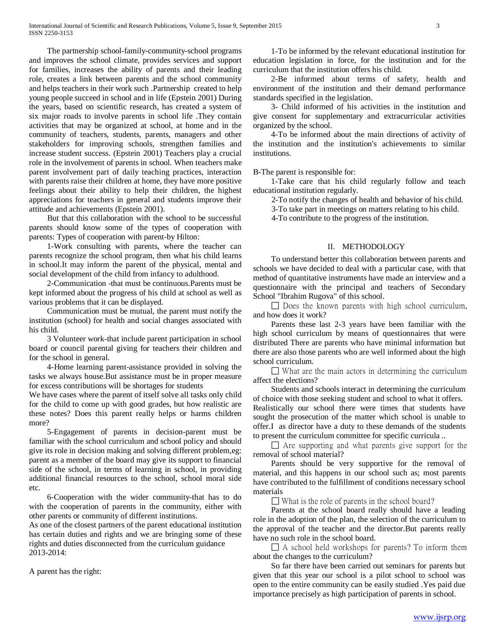The partnership school-family-community-school programs and improves the school climate, provides services and support for families, increases the ability of parents and their leading role, creates a link between parents and the school community and helps teachers in their work such .Partnership created to help young people succeed in school and in life (Epstein 2001) During the years, based on scientific research, has created a system of six major roads to involve parents in school life .They contain activities that may be organized at school, at home and in the community of teachers, students, parents, managers and other stakeholders for improving schools, strengthen families and increase student success. (Epstein 2001) Teachers play a crucial role in the involvement of parents in school. When teachers make parent involvement part of daily teaching practices, interaction with parents raise their children at home, they have more positive feelings about their ability to help their children, the highest appreciations for teachers in general and students improve their attitude and achievements (Epstein 2001).

 But that this collaboration with the school to be successful parents should know some of the types of cooperation with parents: Types of cooperation with parent-by Hilton:

 1-Work consulting with parents, where the teacher can parents recognize the school program, then what his child learns in school.It may inform the parent of the physical, mental and social development of the child from infancy to adulthood.

 2-Communication -that must be continuous.Parents must be kept informed about the progress of his child at school as well as various problems that it can be displayed.

 Communication must be mutual, the parent must notify the institution (school) for health and social changes associated with his child.

 3 Volunteer work-that include parent participation in school board or council parental giving for teachers their children and for the school in general.

 4-Home learning parent-assistance provided in solving the tasks we always house.But assistance must be in proper measure for excess contributions will be shortages for students

We have cases where the parent of itself solve all tasks only child for the child to come up with good grades, but how realistic are these notes? Does this parent really helps or harms children more?

 5-Engagement of parents in decision-parent must be familiar with the school curriculum and school policy and should give its role in decision making and solving different problem,eg: parent as a member of the board may give its support to financial side of the school, in terms of learning in school, in providing additional financial resources to the school, school moral side etc.

 6-Cooperation with the wider community-that has to do with the cooperation of parents in the community, either with other parents or community of different institutions.

As one of the closest partners of the parent educational institution has certain duties and rights and we are bringing some of these rights and duties disconnected from the curriculum guidance 2013-2014:

A parent has the right:

 1-To be informed by the relevant educational institution for education legislation in force, for the institution and for the curriculum that the institution offers his child.

 2-Be informed about terms of safety, health and environment of the institution and their demand performance standards specified in the legislation.

 3- Child informed of his activities in the institution and give consent for supplementary and extracurricular activities organized by the school.

 4-To be informed about the main directions of activity of the institution and the institution's achievements to similar institutions.

B-The parent is responsible for:

 1-Take care that his child regularly follow and teach educational institution regularly.

2-To notify the changes of health and behavior of his child.

3-To take part in meetings on matters relating to his child.

4-To contribute to the progress of the institution.

#### II. METHODOLOGY

 To understand better this collaboration between parents and schools we have decided to deal with a particular case, with that method of quantitative instruments have made an interview and a questionnaire with the principal and teachers of Secondary School "Ibrahim Rugova" of this school.

 $\square$  Does the known parents with high school curriculum, and how does it work?

 Parents these last 2-3 years have been familiar with the high school curriculum by means of questionnaires that were distributed There are parents who have minimal information but there are also those parents who are well informed about the high school curriculum.

 $\Box$  What are the main actors in determining the curriculum affect the elections?

 Students and schools interact in determining the curriculum of choice with those seeking student and school to what it offers. Realistically our school there were times that students have sought the prosecution of the matter which school is unable to offer.I as director have a duty to these demands of the students to present the curriculum committee for specific curricula ..

 $\Box$  Are supporting and what parents give support for the removal of school material?

 Parents should be very supportive for the removal of material, and this happens in our school such as; most parents have contributed to the fulfillment of conditions necessary school materials

 $\Box$  What is the role of parents in the school board?

 Parents at the school board really should have a leading role in the adoption of the plan, the selection of the curriculum to the approval of the teacher and the director.But parents really have no such role in the school board.

 $\Box$  A school held workshops for parents? To inform them about the changes to the curriculum?

 So far there have been carried out seminars for parents but given that this year our school is a pilot school to school was open to the entire community can be easily studied .Yes paid due importance precisely as high participation of parents in school.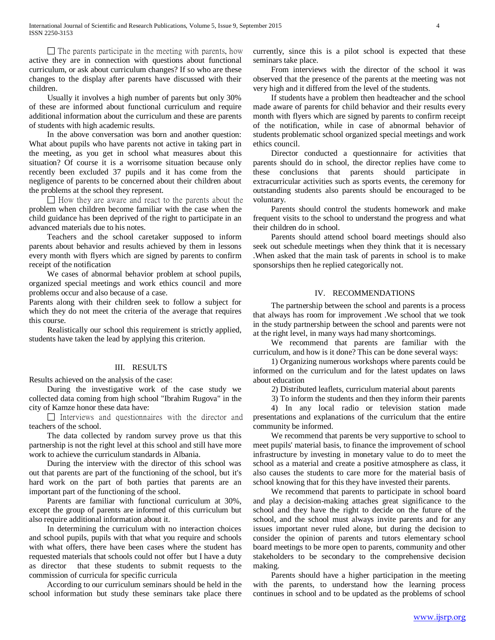$\Box$  The parents participate in the meeting with parents, how active they are in connection with questions about functional curriculum, or ask about curriculum changes? If so who are these changes to the display after parents have discussed with their children.

 Usually it involves a high number of parents but only 30% of these are informed about functional curriculum and require additional information about the curriculum and these are parents of students with high academic results.

 In the above conversation was born and another question: What about pupils who have parents not active in taking part in the meeting, as you get in school what measures about this situation? Of course it is a worrisome situation because only recently been excluded 37 pupils and it has come from the negligence of parents to be concerned about their children about the problems at the school they represent.

 $\Box$  How they are aware and react to the parents about the problem when children become familiar with the case when the child guidance has been deprived of the right to participate in an advanced materials due to his notes.

 Teachers and the school caretaker supposed to inform parents about behavior and results achieved by them in lessons every month with flyers which are signed by parents to confirm receipt of the notification

 We cases of abnormal behavior problem at school pupils, organized special meetings and work ethics council and more problems occur and also because of a case.

Parents along with their children seek to follow a subject for which they do not meet the criteria of the average that requires this course.

 Realistically our school this requirement is strictly applied, students have taken the lead by applying this criterion.

#### III. RESULTS

Results achieved on the analysis of the case:

 During the investigative work of the case study we collected data coming from high school "Ibrahim Rugova" in the city of Kamze honor these data have:

 $\Box$  Interviews and questionnaires with the director and teachers of the school.

 The data collected by random survey prove us that this partnership is not the right level at this school and still have more work to achieve the curriculum standards in Albania.

 During the interview with the director of this school was out that parents are part of the functioning of the school, but it's hard work on the part of both parties that parents are an important part of the functioning of the school.

 Parents are familiar with functional curriculum at 30%, except the group of parents are informed of this curriculum but also require additional information about it.

 In determining the curriculum with no interaction choices and school pupils, pupils with that what you require and schools with what offers, there have been cases where the student has requested materials that schools could not offer but I have a duty as director that these students to submit requests to the commission of curricula for specific curricula

 According to our curriculum seminars should be held in the school information but study these seminars take place there currently, since this is a pilot school is expected that these seminars take place.

 From interviews with the director of the school it was observed that the presence of the parents at the meeting was not very high and it differed from the level of the students.

 If students have a problem then headteacher and the school made aware of parents for child behavior and their results every month with flyers which are signed by parents to confirm receipt of the notification, while in case of abnormal behavior of students problematic school organized special meetings and work ethics council.

 Director conducted a questionnaire for activities that parents should do in school, the director replies have come to these conclusions that parents should participate in extracurricular activities such as sports events, the ceremony for outstanding students also parents should be encouraged to be voluntary.

 Parents should control the students homework and make frequent visits to the school to understand the progress and what their children do in school.

 Parents should attend school board meetings should also seek out schedule meetings when they think that it is necessary .When asked that the main task of parents in school is to make sponsorships then he replied categorically not.

## IV. RECOMMENDATIONS

 The partnership between the school and parents is a process that always has room for improvement .We school that we took in the study partnership between the school and parents were not at the right level, in many ways had many shortcomings.

 We recommend that parents are familiar with the curriculum, and how is it done? This can be done several ways:

 1) Organizing numerous workshops where parents could be informed on the curriculum and for the latest updates on laws about education

2) Distributed leaflets, curriculum material about parents

3) To inform the students and then they inform their parents

 4) In any local radio or television station made presentations and explanations of the curriculum that the entire community be informed.

 We recommend that parents be very supportive to school to meet pupils' material basis, to finance the improvement of school infrastructure by investing in monetary value to do to meet the school as a material and create a positive atmosphere as class, it also causes the students to care more for the material basis of school knowing that for this they have invested their parents.

 We recommend that parents to participate in school board and play a decision-making attaches great significance to the school and they have the right to decide on the future of the school, and the school must always invite parents and for any issues important never ruled alone, but during the decision to consider the opinion of parents and tutors elementary school board meetings to be more open to parents, community and other stakeholders to be secondary to the comprehensive decision making.

 Parents should have a higher participation in the meeting with the parents, to understand how the learning process continues in school and to be updated as the problems of school